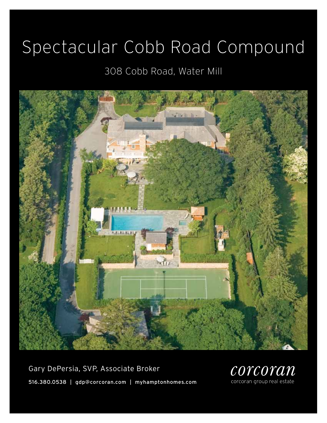# Spectacular Cobb Road Compound

### 308 Cobb Road, Water Mill



Gary DePersia, SVP, Associate Broker 516.380.0538 | gdp@corcoran.com | myhamptonhomes.com

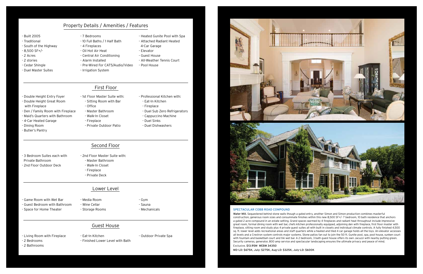#### spectacular cobb road compound

Water Mill. Sequestered behind stone walls though a gated entry, another Simon and Simon production combines masterful construction, generous room sizes and consummate finishes within this new 8,500 SF+/- 7 bedroom, 10 bath residence that anchors a gated 2 acre compound in an estate setting. Grand spaces warmed by 4 fireplaces and radiant heat throughout include impressive great room, formal dining room with wet bar, chefs kitchen professionally equipped, adjoining den with fireplace, first floor master with fireplace, sitting room and study plus 4 private guest suites all with built in closets and individual climate controls. A fully finished 4,500 sq. ft. lower level adds recreational areas and staff quarters while a heated and tiled 4 car garage holds all the toys. An elevator accesses all levels and a Crestron system controls major systems. Stone patios fan out to join the 50 ft. Gunite pool, spa, pool house, sunken court with fountain and basketball court and tiki wet bar. A 2 bedroom, 3 bath guest house offers its own Jacuzzi with nearby putting green. Security cameras, generator, 800 amp service and spectacular landscaping ensures the ultimate privacy and peace of mind.

#### Exclusive. \$13.95M WEB# 34350

MD-LD: \$675K, July: \$275K, Aug-LD: \$325K, July-LD: \$600K

- Built 2005
- Traditional
- South of the Highway
- 8,500 SF+/-
- 2 Acres
- 2 stories
- Cedar Shingle
- Duel Master Suites
- 7 Bedrooms
	- 10 Full Baths / 1 Half Bath
- 4 Fireplaces
	- Oil Hot Air Heat
	- Central Air Conditioning - Alarm Installed
	- Pre-Wired For CAT5/Audio/Video
	- Irrigation System
- Heated Gunite Pool with Spa
- Attached Radiant Heated
- 4-Car Garage
- Elevator
- Guest House
- All-Weather Tennis Court
- 
- Pool House
- 

- Double Height Entry Foyer
- Double Height Great Room with Fireplace
- Den / Family Room with Fireplace
- Maid's Quarters with Bathroom
- 4-Car Heated Garage
- Dining Room
- Butler's Pantry

- 1st Floor Master Suite with:

- Sitting Room with Bar - Office
- Master Bathroom
- Walk-In Closet
- Fireplace
	- Private Outdoor Patio
- Professional Kitchen with:
- Eat-In Kitchen - Fireplace
- Duel Sub Zero Refrigerators
- Cappuccino Machine
- Duel Sinks
- Duel Dishwashers

- 3 Bedroom Suites each with Private Bathroom
- 2nd Floor Outdoor Deck
- 2nd Floor Master Suite with: - Master Bathroom - Walk-In Closet
	- Fireplace
	- Private Deck

- Game Room with Wet Bar
- Guest Bedroom with Bathroom
- Space for Home Theater
- Media Room - Wine Cellar
- Storage Rooms
- Gym - Sauna
- Mechanicals

- Living Room with Fireplace
- 2 Bedrooms
- 2 Bathrooms
- Eat-In Kitchen
- 
- Finished Lower Level with Bath
- Outdoor Private Spa
	-





#### Property Details / Amenities / Features

First Floor

#### Second Floor

#### Lower Level

#### Guest House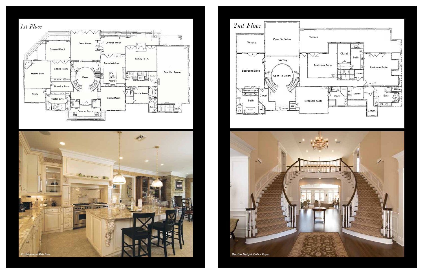





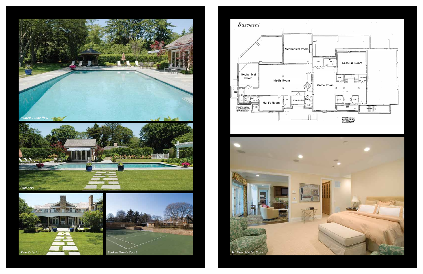